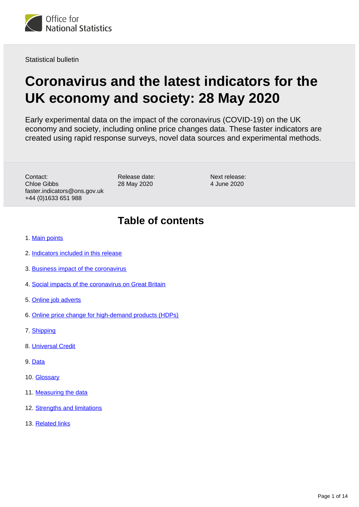

Statistical bulletin

# **Coronavirus and the latest indicators for the UK economy and society: 28 May 2020**

Early experimental data on the impact of the coronavirus (COVID-19) on the UK economy and society, including online price changes data. These faster indicators are created using rapid response surveys, novel data sources and experimental methods.

Contact: Chloe Gibbs faster.indicators@ons.gov.uk +44 (0)1633 651 988

Release date: 28 May 2020

Next release: 4 June 2020

# **Table of contents**

- 1. [Main points](#page-1-0)
- 2. [Indicators included in this release](#page-1-1)
- 3. [Business impact of the coronavirus](#page-2-0)
- 4. [Social impacts of the coronavirus on Great Britain](#page-4-0)
- 5. [Online job adverts](#page-5-0)
- 6. [Online price change for high-demand products \(HDPs\)](#page-6-0)
- 7. [Shipping](#page-9-0)
- 8. [Universal Credit](#page-9-1)
- 9. [Data](#page-10-0)
- 10. [Glossary](#page-10-1)
- 11. [Measuring the data](#page-11-0)
- 12. [Strengths and limitations](#page-12-0)
- 13. [Related links](#page-13-0)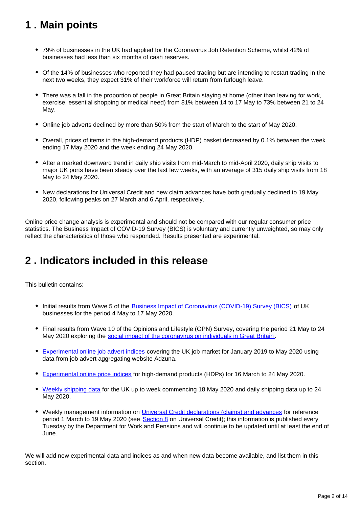# <span id="page-1-0"></span>**1 . Main points**

- 79% of businesses in the UK had applied for the Coronavirus Job Retention Scheme, whilst 42% of businesses had less than six months of cash reserves.
- Of the 14% of businesses who reported they had paused trading but are intending to restart trading in the next two weeks, they expect 31% of their workforce will return from furlough leave.
- There was a fall in the proportion of people in Great Britain staying at home (other than leaving for work, exercise, essential shopping or medical need) from 81% between 14 to 17 May to 73% between 21 to 24 May.
- Online job adverts declined by more than 50% from the start of March to the start of May 2020.
- Overall, prices of items in the high-demand products (HDP) basket decreased by 0.1% between the week ending 17 May 2020 and the week ending 24 May 2020.
- After a marked downward trend in daily ship visits from mid-March to mid-April 2020, daily ship visits to major UK ports have been steady over the last few weeks, with an average of 315 daily ship visits from 18 May to 24 May 2020.
- New declarations for Universal Credit and new claim advances have both gradually declined to 19 May 2020, following peaks on 27 March and 6 April, respectively.

Online price change analysis is experimental and should not be compared with our regular consumer price statistics. The Business Impact of COVID-19 Survey (BICS) is voluntary and currently unweighted, so may only reflect the characteristics of those who responded. Results presented are experimental.

# <span id="page-1-1"></span>**2 . Indicators included in this release**

This bulletin contains:

- Initial results from Wave 5 of the [Business Impact of Coronavirus \(COVID-19\) Survey \(BICS\)](https://www.ons.gov.uk/peoplepopulationandcommunity/healthandsocialcare/conditionsanddiseases/bulletins/coronavirustheukeconomyandsocietyfasterindicators/28may2020#business-impact-of-the-coronavirus) of UK businesses for the period 4 May to 17 May 2020.
- Final results from Wave 10 of the Opinions and Lifestyle (OPN) Survey, covering the period 21 May to 24 May 2020 exploring the [social impact of the coronavirus on individuals in Great Britain](https://www.ons.gov.uk/peoplepopulationandcommunity/healthandsocialcare/healthandwellbeing/bulletins/coronavirusandthesocialimpactsongreatbritain/latest) .
- [Experimental online job advert indices](https://www.ons.gov.uk/peoplepopulationandcommunity/healthandsocialcare/conditionsanddiseases/bulletins/coronavirustheukeconomyandsocietyfasterindicators/28may2020#online-job-adverts) covering the UK job market for January 2019 to May 2020 using data from job advert aggregating website Adzuna.
- [Experimental online price indices](https://www.ons.gov.uk/peoplepopulationandcommunity/healthandsocialcare/conditionsanddiseases/bulletins/coronavirustheukeconomyandsocietyfasterindicators/28may2020#online-price-change-for-high-demand-products-hdps) for high-demand products (HDPs) for 16 March to 24 May 2020.
- [Weekly shipping data](https://www.ons.gov.uk/peoplepopulationandcommunity/healthandsocialcare/conditionsanddiseases/bulletins/coronavirustheukeconomyandsocietyfasterindicators/28may2020#shipping) for the UK up to week commencing 18 May 2020 and daily shipping data up to 24 May 2020.
- Weekly management information on [Universal Credit declarations \(claims\) and advances](https://www.gov.uk/government/publications/universal-credit-declarations-claims-and-advances-management-information) for reference period 1 March to 19 May 2020 (see [Section 8](https://www.ons.gov.uk/peoplepopulationandcommunity/healthandsocialcare/conditionsanddiseases/bulletins/coronavirustheukeconomyandsocietyfasterindicators/28may2020#universal-credit) on Universal Credit); this information is published every Tuesday by the Department for Work and Pensions and will continue to be updated until at least the end of June.

We will add new experimental data and indices as and when new data become available, and list them in this section.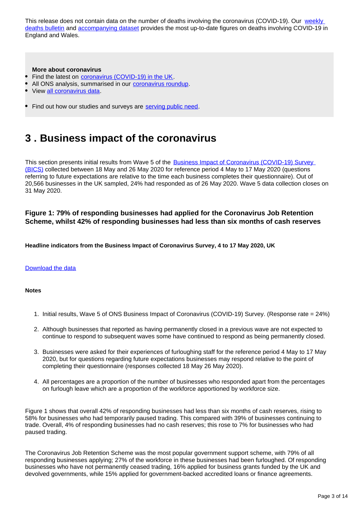This release does not contain data on the number of deaths involving the coronavirus (COVID-19). Our weekly [deaths bulletin](https://www.ons.gov.uk/peoplepopulationandcommunity/birthsdeathsandmarriages/deaths/bulletins/deathsregisteredweeklyinenglandandwalesprovisional/latest) and [accompanying dataset](https://www.ons.gov.uk/peoplepopulationandcommunity/birthsdeathsandmarriages/deaths/datasets/weeklyprovisionalfiguresondeathsregisteredinenglandandwales) provides the most up-to-date figures on deaths involving COVID-19 in England and Wales.

### **More about coronavirus**

- Find the latest on [coronavirus \(COVID-19\) in the UK](https://www.ons.gov.uk/peoplepopulationandcommunity/healthandsocialcare/conditionsanddiseases).
- All ONS analysis, summarised in our [coronavirus roundup.](https://www.ons.gov.uk/peoplepopulationandcommunity/healthandsocialcare/conditionsanddiseases/articles/coronaviruscovid19roundup/2020-03-26)
- View [all coronavirus data.](https://www.ons.gov.uk/peoplepopulationandcommunity/healthandsocialcare/conditionsanddiseases/datalist)
- Find out how our studies and surveys are [serving public need.](http://ons.gov.uk/surveys)

# <span id="page-2-0"></span>**3 . Business impact of the coronavirus**

This section presents initial results from Wave 5 of the [Business Impact of Coronavirus \(COVID-19\) Survey](https://www.ons.gov.uk/surveys/informationforbusinesses/businesssurveys/businessimpactofcoronaviruscovid19survey)  [\(BICS\)](https://www.ons.gov.uk/surveys/informationforbusinesses/businesssurveys/businessimpactofcoronaviruscovid19survey) collected between 18 May and 26 May 2020 for reference period 4 May to 17 May 2020 (questions referring to future expectations are relative to the time each business completes their questionnaire). Out of 20,566 businesses in the UK sampled, 24% had responded as of 26 May 2020. Wave 5 data collection closes on 31 May 2020.

### **Figure 1: 79% of responding businesses had applied for the Coronavirus Job Retention Scheme, whilst 42% of responding businesses had less than six months of cash reserves**

**Headline indicators from the Business Impact of Coronavirus Survey, 4 to 17 May 2020, UK**

### [Download the data](https://www.ons.gov.uk/visualisations/dvc834/bics/wrapper/datadownload.xlsx)

### **Notes**

- 1. Initial results, Wave 5 of ONS Business Impact of Coronavirus (COVID-19) Survey. (Response rate = 24%)
- 2. Although businesses that reported as having permanently closed in a previous wave are not expected to continue to respond to subsequent waves some have continued to respond as being permanently closed.
- 3. Businesses were asked for their experiences of furloughing staff for the reference period 4 May to 17 May 2020, but for questions regarding future expectations businesses may respond relative to the point of completing their questionnaire (responses collected 18 May 26 May 2020).
- 4. All percentages are a proportion of the number of businesses who responded apart from the percentages on furlough leave which are a proportion of the workforce apportioned by workforce size.

Figure 1 shows that overall 42% of responding businesses had less than six months of cash reserves, rising to 58% for businesses who had temporarily paused trading. This compared with 39% of businesses continuing to trade. Overall, 4% of responding businesses had no cash reserves; this rose to 7% for businesses who had paused trading.

The Coronavirus Job Retention Scheme was the most popular government support scheme, with 79% of all responding businesses applying; 27% of the workforce in these businesses had been furloughed. Of responding businesses who have not permanently ceased trading, 16% applied for business grants funded by the UK and devolved governments, while 15% applied for government-backed accredited loans or finance agreements.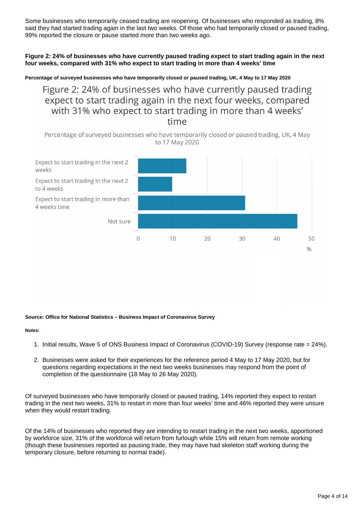Some businesses who temporarily ceased trading are reopening. Of businesses who responded as trading, 8% said they had started trading again in the last two weeks. Of those who had temporarily closed or paused trading, 99% reported the closure or pause started more than two weeks ago.

### **Figure 2: 24% of businesses who have currently paused trading expect to start trading again in the next four weeks, compared with 31% who expect to start trading in more than 4 weeks' time**

**Percentage of surveyed businesses who have temporarily closed or paused trading, UK, 4 May to 17 May 2020**

Figure 2: 24% of businesses who have currently paused trading expect to start trading again in the next four weeks, compared with 31% who expect to start trading in more than 4 weeks' time

Percentage of surveyed businesses who have temporarily closed or paused trading, UK, 4 May to 17 May 2020



### **Source: Office for National Statistics – Business Impact of Coronavirus Survey**

### **Notes:**

- 1. Initial results, Wave 5 of ONS Business Impact of Coronavirus (COVID-19) Survey (response rate = 24%).
- 2. Businesses were asked for their experiences for the reference period 4 May to 17 May 2020, but for questions regarding expectations in the next two weeks businesses may respond from the point of completion of the questionnaire (18 May to 26 May 2020).

Of surveyed businesses who have temporarily closed or paused trading, 14% reported they expect to restart trading in the next two weeks, 31% to restart in more than four weeks' time and 46% reported they were unsure when they would restart trading.

Of the 14% of businesses who reported they are intending to restart trading in the next two weeks, apportioned by workforce size, 31% of the workforce will return from furlough while 15% will return from remote working (though these businesses reported as pausing trade, they may have had skeleton staff working during the temporary closure, before returning to normal trade).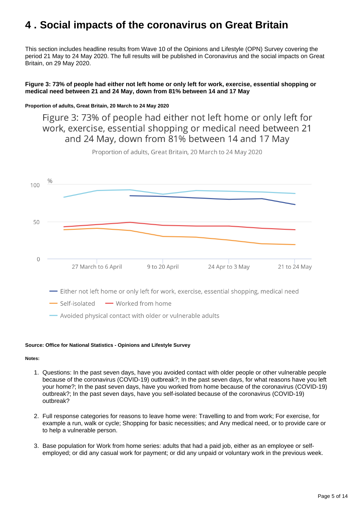# <span id="page-4-0"></span>**4 . Social impacts of the coronavirus on Great Britain**

This section includes headline results from Wave 10 of the Opinions and Lifestyle (OPN) Survey covering the period 21 May to 24 May 2020. The full results will be published in Coronavirus and the social impacts on Great Britain, on 29 May 2020.

### **Figure 3: 73% of people had either not left home or only left for work, exercise, essential shopping or medical need between 21 and 24 May, down from 81% between 14 and 17 May**

### **Proportion of adults, Great Britain, 20 March to 24 May 2020**

Figure 3: 73% of people had either not left home or only left for work, exercise, essential shopping or medical need between 21 and 24 May, down from 81% between 14 and 17 May



Proportion of adults, Great Britain, 20 March to 24 May 2020

### **Source: Office for National Statistics - Opinions and Lifestyle Survey**

### **Notes:**

- 1. Questions: In the past seven days, have you avoided contact with older people or other vulnerable people because of the coronavirus (COVID-19) outbreak?; In the past seven days, for what reasons have you left your home?; In the past seven days, have you worked from home because of the coronavirus (COVID-19) outbreak?; In the past seven days, have you self-isolated because of the coronavirus (COVID-19) outbreak?
- 2. Full response categories for reasons to leave home were: Travelling to and from work; For exercise, for example a run, walk or cycle; Shopping for basic necessities; and Any medical need, or to provide care or to help a vulnerable person.
- 3. Base population for Work from home series: adults that had a paid job, either as an employee or selfemployed; or did any casual work for payment; or did any unpaid or voluntary work in the previous week.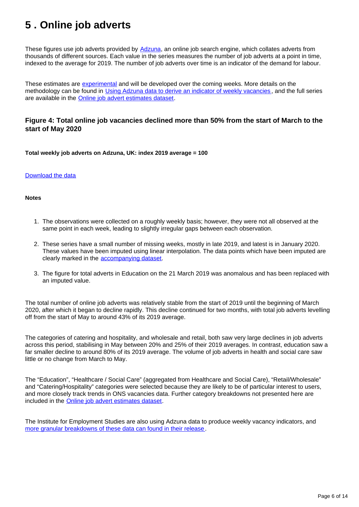# <span id="page-5-0"></span>**5 . Online job adverts**

These figures use job adverts provided by **Adzuna**, an online job search engine, which collates adverts from thousands of different sources. Each value in the series measures the number of job adverts at a point in time, indexed to the average for 2019. The number of job adverts over time is an indicator of the demand for labour.

These estimates are [experimental](https://www.ons.gov.uk/methodology/methodologytopicsandstatisticalconcepts/guidetoexperimentalstatistics) and will be developed over the coming weeks. More details on the methodology can be found in [Using Adzuna data to derive an indicator of weekly vacancies](https://www.ons.gov.uk/peoplepopulationandcommunity/healthandsocialcare/conditionsanddiseases/methodologies/usingadzunadatatoderiveanindicatorofweeklyvacanciesexperimentalstatistics) , and the full series are available in the [Online job advert estimates dataset](http://).

### **Figure 4: Total online job vacancies declined more than 50% from the start of March to the start of May 2020**

**Total weekly job adverts on Adzuna, UK: index 2019 average = 100**

### [Download the data](https://www.ons.gov.uk/visualisations/dvc834/vacs/datadownload.xlsx)

### **Notes**

- 1. The observations were collected on a roughly weekly basis; however, they were not all observed at the same point in each week, leading to slightly irregular gaps between each observation.
- 2. These series have a small number of missing weeks, mostly in late 2019, and latest is in January 2020. These values have been imputed using linear interpolation. The data points which have been imputed are clearly marked in the [accompanying dataset](https://www.ons.gov.uk/economy/economicoutputandproductivity/output/datasets/onlinejobadvertestimates).
- 3. The figure for total adverts in Education on the 21 March 2019 was anomalous and has been replaced with an imputed value.

The total number of online job adverts was relatively stable from the start of 2019 until the beginning of March 2020, after which it began to decline rapidly. This decline continued for two months, with total job adverts levelling off from the start of May to around 43% of its 2019 average.

The categories of catering and hospitality, and wholesale and retail, both saw very large declines in job adverts across this period, stabilising in May between 20% and 25% of their 2019 averages. In contrast, education saw a far smaller decline to around 80% of its 2019 average. The volume of job adverts in health and social care saw little or no change from March to May.

The "Education", "Healthcare / Social Care" (aggregated from Healthcare and Social Care), "Retail/Wholesale" and "Catering/Hospitality" categories were selected because they are likely to be of particular interest to users, and more closely track trends in ONS vacancies data. Further category breakdowns not presented here are included in the [Online job advert estimates dataset.](https://www.ons.gov.uk/economy/economicoutputandproductivity/output/datasets/onlinejobadvertestimates)

The Institute for Employment Studies are also using Adzuna data to produce weekly vacancy indicators, and [more granular breakdowns of these data can found in their release](https://www.employment-studies.co.uk/resource/weekly-vacancy-analysis-vacancy-trends-week-ending-17-may-2020).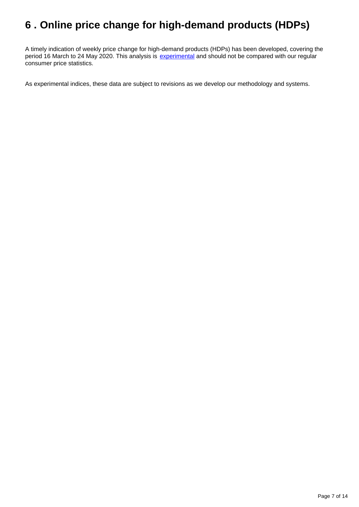# <span id="page-6-0"></span>**6 . Online price change for high-demand products (HDPs)**

A timely indication of weekly price change for high-demand products (HDPs) has been developed, covering the period 16 March to 24 May 2020. This analysis is [experimental](https://www.ons.gov.uk/methodology/methodologytopicsandstatisticalconcepts/guidetoexperimentalstatistics) and should not be compared with our regular consumer price statistics.

As experimental indices, these data are subject to revisions as we develop our methodology and systems.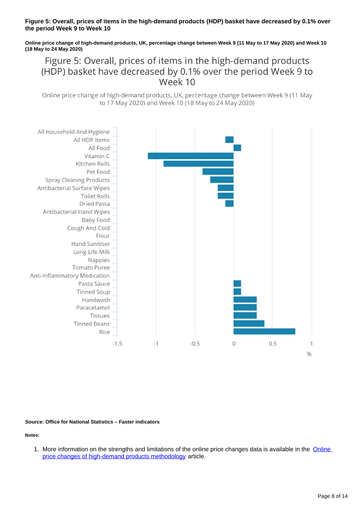### **Figure 5: Overall, prices of items in the high-demand products (HDP) basket have decreased by 0.1% over the period Week 9 to Week 10**

**Online price change of high-demand products, UK, percentage change between Week 9 (11 May to 17 May 2020) and Week 10 (18 May to 24 May 2020)**

Figure 5: Overall, prices of items in the high-demand products (HDP) basket have decreased by 0.1% over the period Week 9 to Week 10

Online price change of high-demand products, UK, percentage change between Week 9 (11 May to 17 May 2020) and Week 10 (18 May to 24 May 2020)



**Source: Office for National Statistics – Faster indicators**

**Notes:**

1. More information on the strengths and limitations of the online price changes data is available in the **Online** [price changes of high-demand products methodology](https://www.ons.gov.uk/peoplepopulationandcommunity/healthandsocialcare/conditionsanddiseases/methodologies/onlinepricechangesforhighdemandproductsmethodology) article.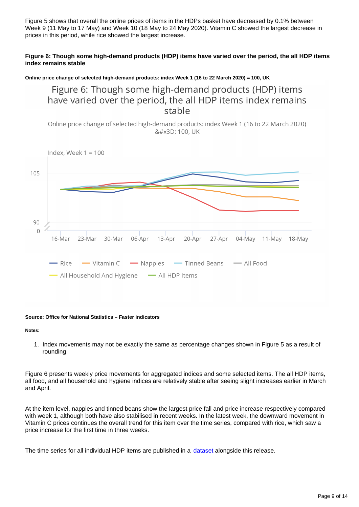Figure 5 shows that overall the online prices of items in the HDPs basket have decreased by 0.1% between Week 9 (11 May to 17 May) and Week 10 (18 May to 24 May 2020). Vitamin C showed the largest decrease in prices in this period, while rice showed the largest increase.

### **Figure 6: Though some high-demand products (HDP) items have varied over the period, the all HDP items index remains stable**

**Online price change of selected high-demand products: index Week 1 (16 to 22 March 2020) = 100, UK**

Figure 6: Though some high-demand products (HDP) items have varied over the period, the all HDP items index remains stable

Online price change of selected high-demand products: index Week 1 (16 to 22 March 2020) = 100, UK



### **Source: Office for National Statistics – Faster indicators**

### **Notes:**

1. Index movements may not be exactly the same as percentage changes shown in Figure 5 as a result of rounding.

Figure 6 presents weekly price movements for aggregated indices and some selected items. The all HDP items, all food, and all household and hygiene indices are relatively stable after seeing slight increases earlier in March and April.

At the item level, nappies and tinned beans show the largest price fall and price increase respectively compared with week 1, although both have also stabilised in recent weeks. In the latest week, the downward movement in Vitamin C prices continues the overall trend for this item over the time series, compared with rice, which saw a price increase for the first time in three weeks.

The time series for all individual HDP items are published in a [dataset](https://www.ons.gov.uk/economy/inflationandpriceindices/datasets/onlinepricechangesforhighdemandproducts) alongside this release.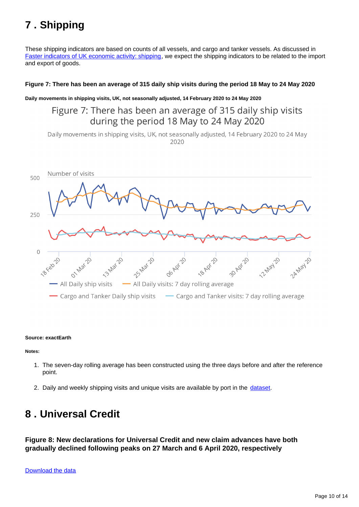# <span id="page-9-0"></span>**7 . Shipping**

These shipping indicators are based on counts of all vessels, and cargo and tanker vessels. As discussed in [Faster indicators of UK economic activity: shipping,](https://datasciencecampus.ons.gov.uk/projects/faster-indicators-of-uk-economic-activity-shipping/) we expect the shipping indicators to be related to the import and export of goods.

### **Figure 7: There has been an average of 315 daily ship visits during the period 18 May to 24 May 2020**

**Daily movements in shipping visits, UK, not seasonally adjusted, 14 February 2020 to 24 May 2020**

Figure 7: There has been an average of 315 daily ship visits during the period 18 May to 24 May 2020

Daily movements in shipping visits, UK, not seasonally adjusted, 14 February 2020 to 24 May 2020



### **Source: exactEarth**

**Notes:**

- 1. The seven-day rolling average has been constructed using the three days before and after the reference point.
- 2. Daily and weekly shipping visits and unique visits are available by port in the [dataset](https://www.ons.gov.uk/economy/economicoutputandproductivity/output/datasets/weeklyshippingindicators).

# <span id="page-9-1"></span>**8 . Universal Credit**

**Figure 8: New declarations for Universal Credit and new claim advances have both gradually declined following peaks on 27 March and 6 April 2020, respectively**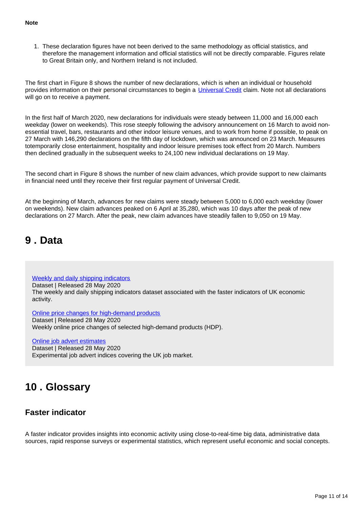1. These declaration figures have not been derived to the same methodology as official statistics, and therefore the management information and official statistics will not be directly comparable. Figures relate to Great Britain only, and Northern Ireland is not included.

The first chart in Figure 8 shows the number of new declarations, which is when an individual or household provides information on their personal circumstances to begin a [Universal Credit](https://www.gov.uk/universal-credit) claim. Note not all declarations will go on to receive a payment.

In the first half of March 2020, new declarations for individuals were steady between 11,000 and 16,000 each weekday (lower on weekends). This rose steeply following the advisory announcement on 16 March to avoid nonessential travel, bars, restaurants and other indoor leisure venues, and to work from home if possible, to peak on 27 March with 146,290 declarations on the fifth day of lockdown, which was announced on 23 March. Measures totemporarily close entertainment, hospitality and indoor leisure premises took effect from 20 March. Numbers then declined gradually in the subsequent weeks to 24,100 new individual declarations on 19 May.

The second chart in Figure 8 shows the number of new claim advances, which provide support to new claimants in financial need until they receive their first regular payment of Universal Credit.

At the beginning of March, advances for new claims were steady between 5,000 to 6,000 each weekday (lower on weekends). New claim advances peaked on 6 April at 35,280, which was 10 days after the peak of new declarations on 27 March. After the peak, new claim advances have steadily fallen to 9,050 on 19 May.

## <span id="page-10-0"></span>**9 . Data**

[Weekly and daily shipping indicators](https://www.ons.gov.uk/economy/economicoutputandproductivity/output/datasets/weeklyshippingindicators)

Dataset | Released 28 May 2020 The weekly and daily shipping indicators dataset associated with the faster indicators of UK economic activity.

[Online price changes for high-demand products](https://www.ons.gov.uk/economy/inflationandpriceindices/datasets/onlinepricechangesforhighdemandproducts)

Dataset | Released 28 May 2020 Weekly online price changes of selected high-demand products (HDP).

[Online job advert estimates](http://)

Dataset | Released 28 May 2020 Experimental job advert indices covering the UK job market.

# <span id="page-10-1"></span>**10 . Glossary**

## **Faster indicator**

A faster indicator provides insights into economic activity using close-to-real-time big data, administrative data sources, rapid response surveys or experimental statistics, which represent useful economic and social concepts.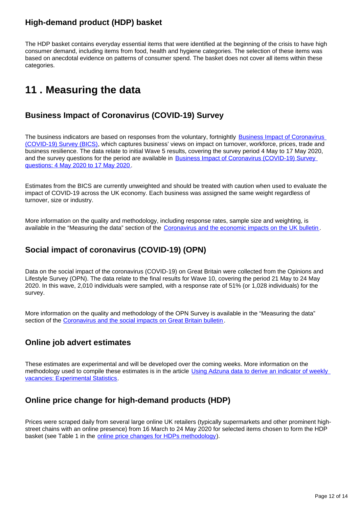## **High-demand product (HDP) basket**

The HDP basket contains everyday essential items that were identified at the beginning of the crisis to have high consumer demand, including items from food, health and hygiene categories. The selection of these items was based on anecdotal evidence on patterns of consumer spend. The basket does not cover all items within these categories.

# <span id="page-11-0"></span>**11 . Measuring the data**

## **Business Impact of Coronavirus (COVID-19) Survey**

The business indicators are based on responses from the voluntary, fortnightly Business Impact of Coronavirus [\(COVID-19\) Survey \(BICS\)](https://www.ons.gov.uk/surveys/informationforbusinesses/businesssurveys/businessimpactofcoronaviruscovid19survey), which captures business' views on impact on turnover, workforce, prices, trade and business resilience. The data relate to initial Wave 5 results, covering the survey period 4 May to 17 May 2020, and the survey questions for the period are available in [Business Impact of Coronavirus \(COVID-19\) Survey](https://www.ons.gov.uk/peoplepopulationandcommunity/healthandsocialcare/conditionsanddiseases/articles/businessimpactofcovid19surveyquestions/wave5)  [questions: 4 May 2020 to 17 May 2020](https://www.ons.gov.uk/peoplepopulationandcommunity/healthandsocialcare/conditionsanddiseases/articles/businessimpactofcovid19surveyquestions/wave5) .

Estimates from the BICS are currently unweighted and should be treated with caution when used to evaluate the impact of COVID-19 across the UK economy. Each business was assigned the same weight regardless of turnover, size or industry.

More information on the quality and methodology, including response rates, sample size and weighting, is available in the "Measuring the data" section of the [Coronavirus and the economic impacts on the UK bulletin](https://www.ons.gov.uk/businessindustryandtrade/business/businessservices/bulletins/coronavirusandtheeconomicimpactsontheuk/21may2020#measuring-the-data).

## **Social impact of coronavirus (COVID-19) (OPN)**

Data on the social impact of the coronavirus (COVID-19) on Great Britain were collected from the Opinions and Lifestyle Survey (OPN). The data relate to the final results for Wave 10, covering the period 21 May to 24 May 2020. In this wave, 2,010 individuals were sampled, with a response rate of 51% (or 1,028 individuals) for the survey.

More information on the quality and methodology of the OPN Survey is available in the "Measuring the data" section of the [Coronavirus and the social impacts on Great Britain bulletin](https://www.ons.gov.uk/peoplepopulationandcommunity/healthandsocialcare/healthandwellbeing/bulletins/coronavirusandthesocialimpactsongreatbritain/latest).

## **Online job advert estimates**

These estimates are experimental and will be developed over the coming weeks. More information on the methodology used to compile these estimates is in the article Using Adzuna data to derive an indicator of weekly [vacancies: Experimental Statistics.](https://www.ons.gov.uk/peoplepopulationandcommunity/healthandsocialcare/conditionsanddiseases/methodologies/usingadzunadatatoderiveanindicatorofweeklyvacanciesexperimentalstatistics)

## **Online price change for high-demand products (HDP)**

Prices were scraped daily from several large online UK retailers (typically supermarkets and other prominent highstreet chains with an online presence) from 16 March to 24 May 2020 for selected items chosen to form the HDP basket (see Table 1 in the [online price changes for HDPs methodology\)](https://www.ons.gov.uk/peoplepopulationandcommunity/healthandsocialcare/conditionsanddiseases/methodologies/onlinepricechangesforhighdemandproductsmethodology).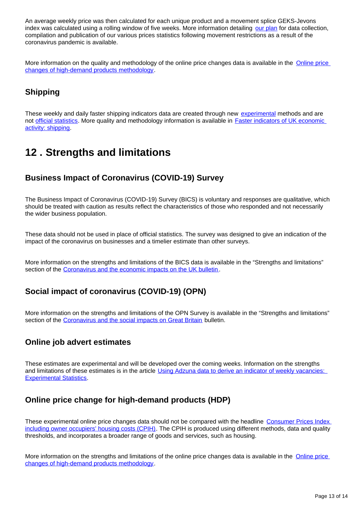An average weekly price was then calculated for each unique product and a movement splice GEKS-Jevons index was calculated using a rolling window of five weeks. More information detailing [our plan](https://www.ons.gov.uk/economy/inflationandpriceindices/articles/coronavirusandtheeffectsonukprices/2020-05-06) for data collection, compilation and publication of our various prices statistics following movement restrictions as a result of the coronavirus pandemic is available.

More information on the quality and methodology of the online price changes data is available in the [Online price](https://www.ons.gov.uk/peoplepopulationandcommunity/healthandsocialcare/conditionsanddiseases/methodologies/onlinepricechangesforhighdemandproductsmethodology)  [changes of high-demand products methodology](https://www.ons.gov.uk/peoplepopulationandcommunity/healthandsocialcare/conditionsanddiseases/methodologies/onlinepricechangesforhighdemandproductsmethodology).

## **Shipping**

These weekly and daily faster shipping indicators data are created through new [experimental](https://www.ons.gov.uk/methodology/methodologytopicsandstatisticalconcepts/guidetoexperimentalstatistics) methods and are not [official statistics](https://www.statisticsauthority.gov.uk/about-the-authority/uk-statistical-system/types-of-official-statistics/). More quality and methodology information is available in [Faster indicators of UK economic](https://datasciencecampus.ons.gov.uk/projects/faster-indicators-of-uk-economic-activity-shipping/)  [activity: shipping.](https://datasciencecampus.ons.gov.uk/projects/faster-indicators-of-uk-economic-activity-shipping/)

# <span id="page-12-0"></span>**12 . Strengths and limitations**

## **Business Impact of Coronavirus (COVID-19) Survey**

The Business Impact of Coronavirus (COVID-19) Survey (BICS) is voluntary and responses are qualitative, which should be treated with caution as results reflect the characteristics of those who responded and not necessarily the wider business population.

These data should not be used in place of official statistics. The survey was designed to give an indication of the impact of the coronavirus on businesses and a timelier estimate than other surveys.

More information on the strengths and limitations of the BICS data is available in the "Strengths and limitations" section of the [Coronavirus and the economic impacts on the UK bulletin](https://www.ons.gov.uk/businessindustryandtrade/business/businessservices/bulletins/coronavirusandtheeconomicimpactsontheuk/21may2020#strengths-and-limitations).

## **Social impact of coronavirus (COVID-19) (OPN)**

More information on the strengths and limitations of the OPN Survey is available in the "Strengths and limitations" section of the [Coronavirus and the social impacts on Great Britain](https://www.ons.gov.uk/peoplepopulationandcommunity/healthandsocialcare/healthandwellbeing/bulletins/coronavirusandthesocialimpactsongreatbritain/22may2020#strengths-and-limitations) bulletin.

## **Online job advert estimates**

These estimates are experimental and will be developed over the coming weeks. Information on the strengths and limitations of these estimates is in the article Using Adzuna data to derive an indicator of weekly vacancies: [Experimental Statistics](https://www.ons.gov.uk/peoplepopulationandcommunity/healthandsocialcare/conditionsanddiseases/methodologies/usingadzunadatatoderiveanindicatorofweeklyvacanciesexperimentalstatistics).

## **Online price change for high-demand products (HDP)**

These experimental online price changes data should not be compared with the headline Consumer Prices Index [including owner occupiers' housing costs \(CPIH\).](https://www.ons.gov.uk/economy/inflationandpriceindices/bulletins/consumerpriceinflation/latest) The CPIH is produced using different methods, data and quality thresholds, and incorporates a broader range of goods and services, such as housing.

More information on the strengths and limitations of the online price changes data is available in the [Online price](https://www.ons.gov.uk/peoplepopulationandcommunity/healthandsocialcare/conditionsanddiseases/methodologies/onlinepricechangesforhighdemandproductsmethodology)  [changes of high-demand products methodology](https://www.ons.gov.uk/peoplepopulationandcommunity/healthandsocialcare/conditionsanddiseases/methodologies/onlinepricechangesforhighdemandproductsmethodology).